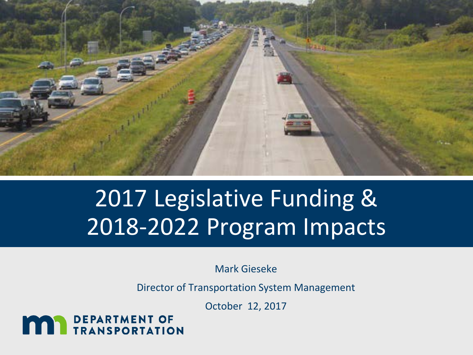

# 2017 Legislative Funding & 2018-2022 Program Impacts

Mark Gieseke

Director of Transportation System Management

October 12, 2017

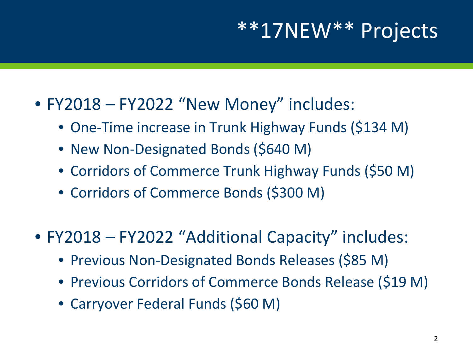## \*\*17NEW\*\* Projects

#### • FY2018 – FY2022 "New Money" includes:

- One-Time increase in Trunk Highway Funds (\$134 M)
- New Non-Designated Bonds (\$640 M)
- Corridors of Commerce Trunk Highway Funds (\$50 M)
- Corridors of Commerce Bonds (\$300 M)

• FY2018 – FY2022 "Additional Capacity" includes:

- Previous Non-Designated Bonds Releases (\$85 M)
- Previous Corridors of Commerce Bonds Release (\$19 M)
- Carryover Federal Funds (\$60 M)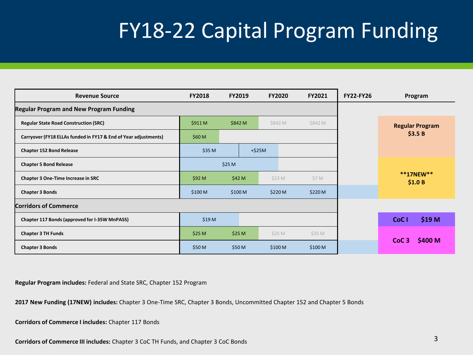## FY18-22 Capital Program Funding

| <b>Revenue Source</b>                                           | <b>FY2018</b>      | <b>FY2019</b> |  | <b>FY2020</b> | FY2021  | <b>FY22-FY26</b> | Program                     |  |
|-----------------------------------------------------------------|--------------------|---------------|--|---------------|---------|------------------|-----------------------------|--|
| <b>Regular Program and New Program Funding</b>                  |                    |               |  |               |         |                  |                             |  |
| <b>Regular State Road Construction (SRC)</b>                    | \$911 M            | \$842 M       |  | \$842 M       | \$842 M |                  | <b>Regular Program</b>      |  |
| Carryover (FY18 ELLAs funded in FY17 & End of Year adjustments) | \$60 M             |               |  |               |         |                  | \$3.5B                      |  |
| <b>Chapter 152 Bond Release</b>                                 | \$35 M<br>$+ $25M$ |               |  |               |         |                  |                             |  |
| <b>Chapter 5 Bond Release</b>                                   | \$25 M             |               |  |               |         |                  |                             |  |
| Chapter 3 One-Time Increase in SRC                              | \$92 M<br>\$42 M   |               |  | \$23 M        | \$7 M   |                  | **17NEW**<br>\$1.0 B        |  |
| <b>Chapter 3 Bonds</b>                                          | \$100 M            | \$100 M       |  | \$220 M       | \$220 M |                  |                             |  |
| <b>Corridors of Commerce</b>                                    |                    |               |  |               |         |                  |                             |  |
| Chapter 117 Bonds (approved for I-35W MnPASS)                   | \$19 <sub>M</sub>  |               |  |               |         |                  | \$19 M<br>CoC <sub>1</sub>  |  |
| <b>Chapter 3 TH Funds</b>                                       | \$25 M             | \$25 M        |  | \$25 M        | \$25 M  |                  |                             |  |
| <b>Chapter 3 Bonds</b>                                          | \$50 M             | \$50 M        |  | \$100 M       | \$100 M |                  | \$400 M<br>CoC <sub>3</sub> |  |

**Regular Program includes:** Federal and State SRC, Chapter 152 Program

**2017 New Funding (17NEW) includes:** Chapter 3 One-Time SRC, Chapter 3 Bonds, Uncommitted Chapter 152 and Chapter 5 Bonds

**Corridors of Commerce I includes:** Chapter 117 Bonds

**Corridors of Commerce III includes:** Chapter 3 CoC TH Funds, and Chapter 3 CoC Bonds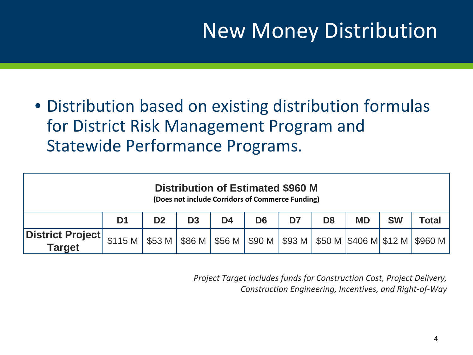## New Money Distribution

• Distribution based on existing distribution formulas for District Risk Management Program and Statewide Performance Programs.

| <b>Distribution of Estimated \$960 M</b><br>(Does not include Corridors of Commerce Funding) |                                                                                                         |                |                |                |                |    |                |           |           |       |  |  |
|----------------------------------------------------------------------------------------------|---------------------------------------------------------------------------------------------------------|----------------|----------------|----------------|----------------|----|----------------|-----------|-----------|-------|--|--|
|                                                                                              | D <sub>1</sub>                                                                                          | D <sub>2</sub> | D <sub>3</sub> | D <sub>4</sub> | D <sub>6</sub> | D7 | D <sub>8</sub> | <b>MD</b> | <b>SW</b> | Total |  |  |
| District Project<br><b>Target</b>                                                            | . \$115 M   \$53 M   \$86 M   \$56 M   \$90 M   \$93 M   \$50 M  \$406 M  \$12 M   \$960 M <sup> </sup> |                |                |                |                |    |                |           |           |       |  |  |

*Project Target includes funds for Construction Cost, Project Delivery, Construction Engineering, Incentives, and Right-of-Way*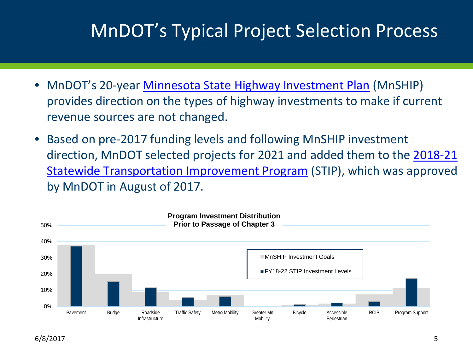#### MnDOT's Typical Project Selection Process

- MnDOT's 20-year <u>Minnesota State Highway Investment Plan</u> (MnSHIP) provides direction on the types of highway investments to make if current revenue sources are not changed.
- Based on pre-2017 funding levels and following MnSHIP investment [direction, MnDOT selected projects for 2021 and added them to the 2018-21](http://www.dot.state.mn.us/planning/program/stip.html) Statewide Transportation Improvement Program (STIP), which was approved by MnDOT in August of 2017.

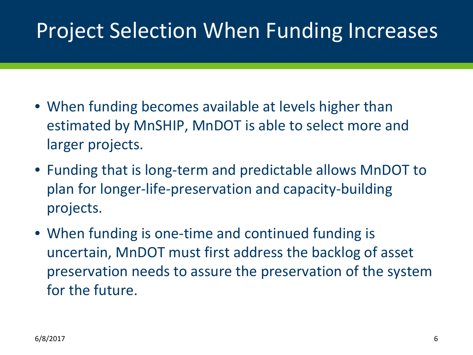## Project Selection When Funding Increases

- When funding becomes available at levels higher than estimated by MnSHIP, MnDOT is able to select more and larger projects.
- Funding that is long-term and predictable allows MnDOT to plan for longer-life-preservation and capacity-building projects.
- When funding is one-time and continued funding is uncertain, MnDOT must first address the backlog of asset preservation needs to assure the preservation of the system for the future.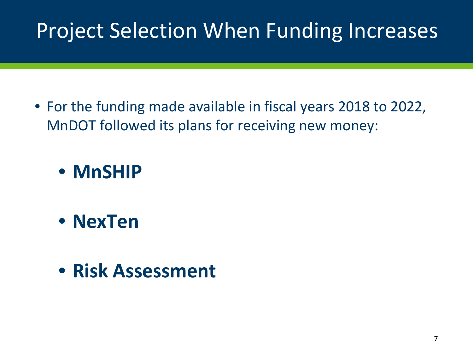## Project Selection When Funding Increases

• For the funding made available in fiscal years 2018 to 2022, MnDOT followed its plans for receiving new money:

• **MnSHIP** 

- **NexTen**
- **Risk Assessment**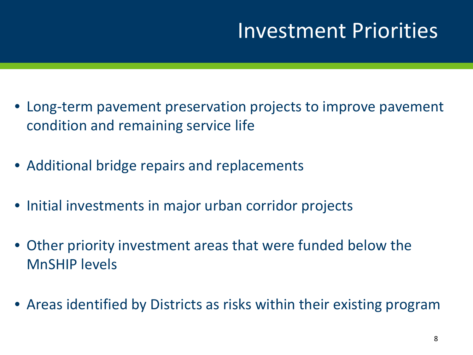#### Investment Priorities

- Long-term pavement preservation projects to improve pavement condition and remaining service life
- Additional bridge repairs and replacements
- Initial investments in major urban corridor projects
- Other priority investment areas that were funded below the MnSHIP levels
- Areas identified by Districts as risks within their existing program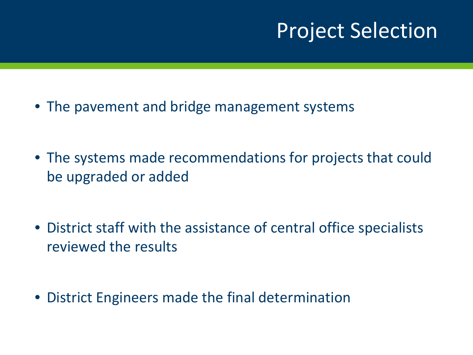#### Project Selection

- The pavement and bridge management systems
- The systems made recommendations for projects that could be upgraded or added
- District staff with the assistance of central office specialists reviewed the results
- District Engineers made the final determination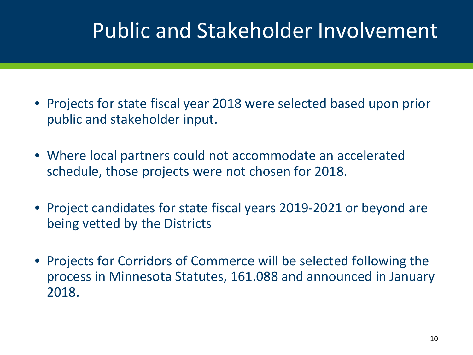## Public and Stakeholder Involvement

- Projects for state fiscal year 2018 were selected based upon prior public and stakeholder input.
- Where local partners could not accommodate an accelerated schedule, those projects were not chosen for 2018.
- Project candidates for state fiscal years 2019-2021 or beyond are being vetted by the Districts
- Projects for Corridors of Commerce will be selected following the process in Minnesota Statutes, 161.088 and announced in January 2018.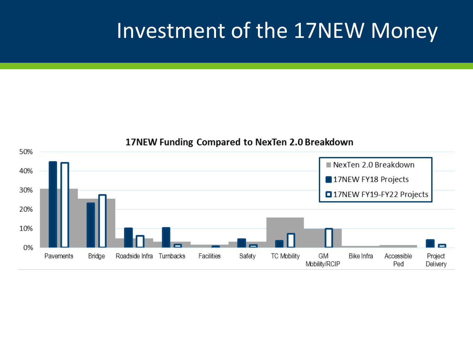#### Investment of the 17NEW Money